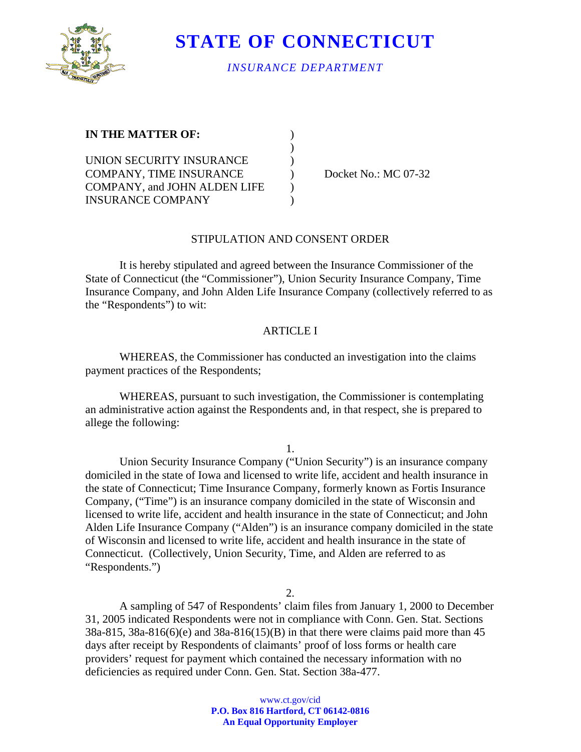

**STATE OF CONNECTICUT** 

### *INSURANCE DEPARTMENT*

| <b>IN THE MATTER OF:</b>            |  |
|-------------------------------------|--|
|                                     |  |
| UNION SECURITY INSURANCE            |  |
| COMPANY, TIME INSURANCE             |  |
| <b>COMPANY, and JOHN ALDEN LIFE</b> |  |
| <b>INSURANCE COMPANY</b>            |  |

Docket No.: MC 07-32

#### STIPULATION AND CONSENT ORDER

It is hereby stipulated and agreed between the Insurance Commissioner of the State of Connecticut (the "Commissioner"), Union Security Insurance Company, Time Insurance Company, and John Alden Life Insurance Company (collectively referred to as the "Respondents") to wit:

### ARTICLE I

WHEREAS, the Commissioner has conducted an investigation into the claims payment practices of the Respondents;

WHEREAS, pursuant to such investigation, the Commissioner is contemplating an administrative action against the Respondents and, in that respect, she is prepared to allege the following:

1.

Union Security Insurance Company ("Union Security") is an insurance company domiciled in the state of Iowa and licensed to write life, accident and health insurance in the state of Connecticut; Time Insurance Company, formerly known as Fortis Insurance Company, ("Time") is an insurance company domiciled in the state of Wisconsin and licensed to write life, accident and health insurance in the state of Connecticut; and John Alden Life Insurance Company ("Alden") is an insurance company domiciled in the state of Wisconsin and licensed to write life, accident and health insurance in the state of Connecticut. (Collectively, Union Security, Time, and Alden are referred to as "Respondents.")

2.

A sampling of 547 of Respondents' claim files from January 1, 2000 to December 31, 2005 indicated Respondents were not in compliance with Conn. Gen. Stat. Sections 38a-815, 38a-816(6)(e) and 38a-816(15)(B) in that there were claims paid more than 45 days after receipt by Respondents of claimants' proof of loss forms or health care providers' request for payment which contained the necessary information with no deficiencies as required under Conn. Gen. Stat. Section 38a-477.

> www.ct.gov/cid **P.O. Box 816 Hartford, CT 06142-0816 An Equal Opportunity Employer**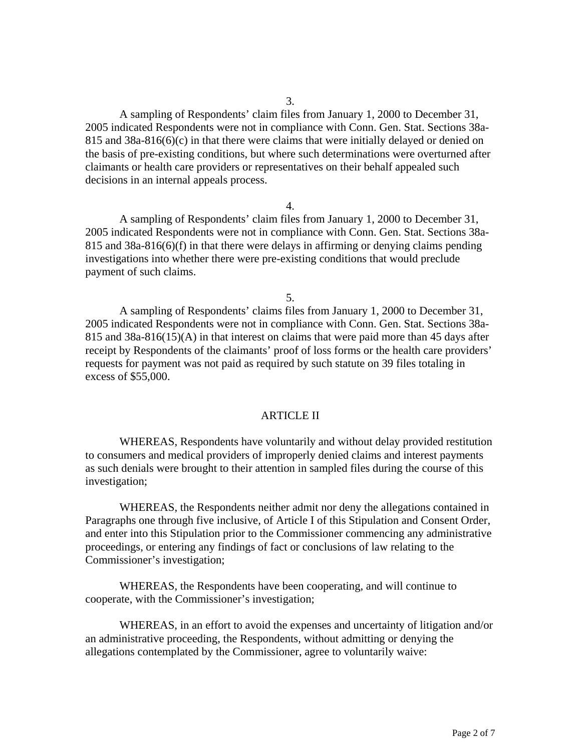A sampling of Respondents' claim files from January 1, 2000 to December 31, 2005 indicated Respondents were not in compliance with Conn. Gen. Stat. Sections 38a-815 and 38a-816(6)(c) in that there were claims that were initially delayed or denied on the basis of pre-existing conditions, but where such determinations were overturned after claimants or health care providers or representatives on their behalf appealed such decisions in an internal appeals process.

#### 4.

 A sampling of Respondents' claim files from January 1, 2000 to December 31, 2005 indicated Respondents were not in compliance with Conn. Gen. Stat. Sections 38a-815 and 38a-816(6)(f) in that there were delays in affirming or denying claims pending investigations into whether there were pre-existing conditions that would preclude payment of such claims.

5.

 A sampling of Respondents' claims files from January 1, 2000 to December 31, 2005 indicated Respondents were not in compliance with Conn. Gen. Stat. Sections 38a-815 and 38a-816(15)(A) in that interest on claims that were paid more than 45 days after receipt by Respondents of the claimants' proof of loss forms or the health care providers' requests for payment was not paid as required by such statute on 39 files totaling in excess of \$55,000.

#### ARTICLE II

 WHEREAS, Respondents have voluntarily and without delay provided restitution to consumers and medical providers of improperly denied claims and interest payments as such denials were brought to their attention in sampled files during the course of this investigation;

WHEREAS, the Respondents neither admit nor deny the allegations contained in Paragraphs one through five inclusive, of Article I of this Stipulation and Consent Order, and enter into this Stipulation prior to the Commissioner commencing any administrative proceedings, or entering any findings of fact or conclusions of law relating to the Commissioner's investigation;

WHEREAS, the Respondents have been cooperating, and will continue to cooperate, with the Commissioner's investigation;

WHEREAS, in an effort to avoid the expenses and uncertainty of litigation and/or an administrative proceeding, the Respondents, without admitting or denying the allegations contemplated by the Commissioner, agree to voluntarily waive: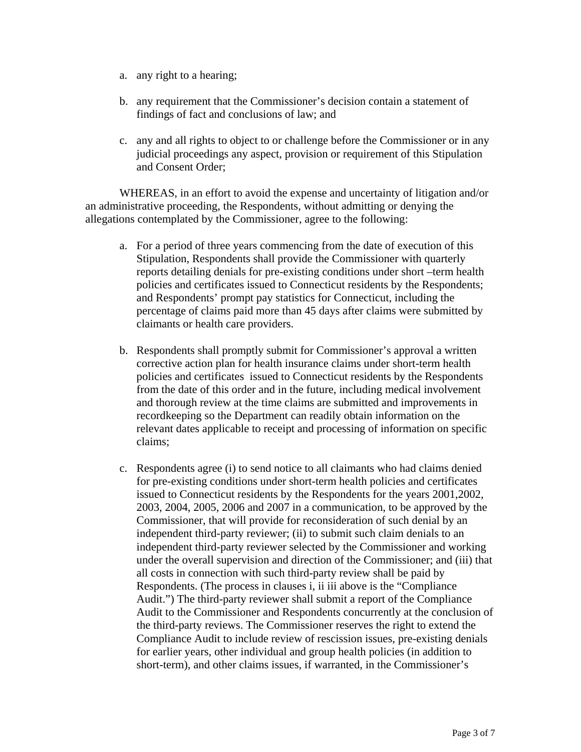- a. any right to a hearing;
- b. any requirement that the Commissioner's decision contain a statement of findings of fact and conclusions of law; and
- c. any and all rights to object to or challenge before the Commissioner or in any judicial proceedings any aspect, provision or requirement of this Stipulation and Consent Order;

WHEREAS, in an effort to avoid the expense and uncertainty of litigation and/or an administrative proceeding, the Respondents, without admitting or denying the allegations contemplated by the Commissioner, agree to the following:

- a. For a period of three years commencing from the date of execution of this Stipulation, Respondents shall provide the Commissioner with quarterly reports detailing denials for pre-existing conditions under short –term health policies and certificates issued to Connecticut residents by the Respondents; and Respondents' prompt pay statistics for Connecticut, including the percentage of claims paid more than 45 days after claims were submitted by claimants or health care providers.
- b. Respondents shall promptly submit for Commissioner's approval a written corrective action plan for health insurance claims under short-term health policies and certificates issued to Connecticut residents by the Respondents from the date of this order and in the future, including medical involvement and thorough review at the time claims are submitted and improvements in recordkeeping so the Department can readily obtain information on the relevant dates applicable to receipt and processing of information on specific claims;
- c. Respondents agree (i) to send notice to all claimants who had claims denied for pre-existing conditions under short-term health policies and certificates issued to Connecticut residents by the Respondents for the years 2001,2002, 2003, 2004, 2005, 2006 and 2007 in a communication, to be approved by the Commissioner, that will provide for reconsideration of such denial by an independent third-party reviewer; (ii) to submit such claim denials to an independent third-party reviewer selected by the Commissioner and working under the overall supervision and direction of the Commissioner; and (iii) that all costs in connection with such third-party review shall be paid by Respondents. (The process in clauses i, ii iii above is the "Compliance Audit.") The third-party reviewer shall submit a report of the Compliance Audit to the Commissioner and Respondents concurrently at the conclusion of the third-party reviews. The Commissioner reserves the right to extend the Compliance Audit to include review of rescission issues, pre-existing denials for earlier years, other individual and group health policies (in addition to short-term), and other claims issues, if warranted, in the Commissioner's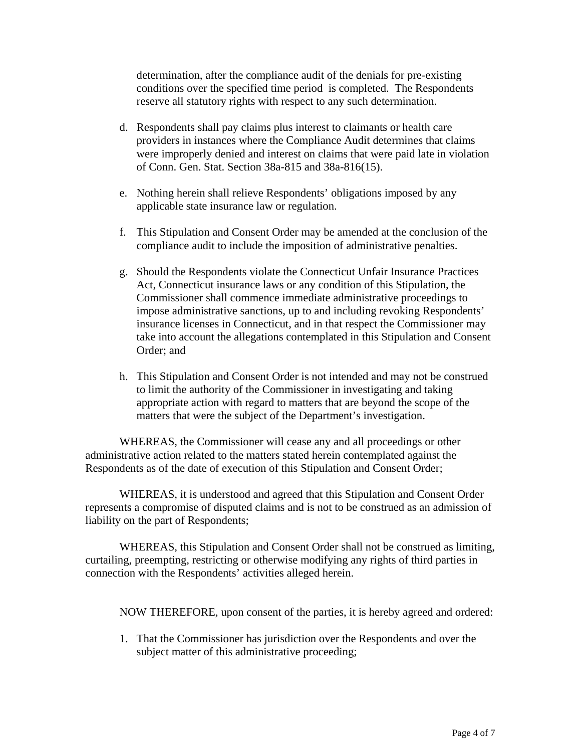determination, after the compliance audit of the denials for pre-existing conditions over the specified time period is completed. The Respondents reserve all statutory rights with respect to any such determination.

- d. Respondents shall pay claims plus interest to claimants or health care providers in instances where the Compliance Audit determines that claims were improperly denied and interest on claims that were paid late in violation of Conn. Gen. Stat. Section 38a-815 and 38a-816(15).
- e. Nothing herein shall relieve Respondents' obligations imposed by any applicable state insurance law or regulation.
- f. This Stipulation and Consent Order may be amended at the conclusion of the compliance audit to include the imposition of administrative penalties.
- g. Should the Respondents violate the Connecticut Unfair Insurance Practices Act, Connecticut insurance laws or any condition of this Stipulation, the Commissioner shall commence immediate administrative proceedings to impose administrative sanctions, up to and including revoking Respondents' insurance licenses in Connecticut, and in that respect the Commissioner may take into account the allegations contemplated in this Stipulation and Consent Order; and
- h. This Stipulation and Consent Order is not intended and may not be construed to limit the authority of the Commissioner in investigating and taking appropriate action with regard to matters that are beyond the scope of the matters that were the subject of the Department's investigation.

WHEREAS, the Commissioner will cease any and all proceedings or other administrative action related to the matters stated herein contemplated against the Respondents as of the date of execution of this Stipulation and Consent Order;

WHEREAS, it is understood and agreed that this Stipulation and Consent Order represents a compromise of disputed claims and is not to be construed as an admission of liability on the part of Respondents;

WHEREAS, this Stipulation and Consent Order shall not be construed as limiting, curtailing, preempting, restricting or otherwise modifying any rights of third parties in connection with the Respondents' activities alleged herein.

NOW THEREFORE, upon consent of the parties, it is hereby agreed and ordered:

1. That the Commissioner has jurisdiction over the Respondents and over the subject matter of this administrative proceeding;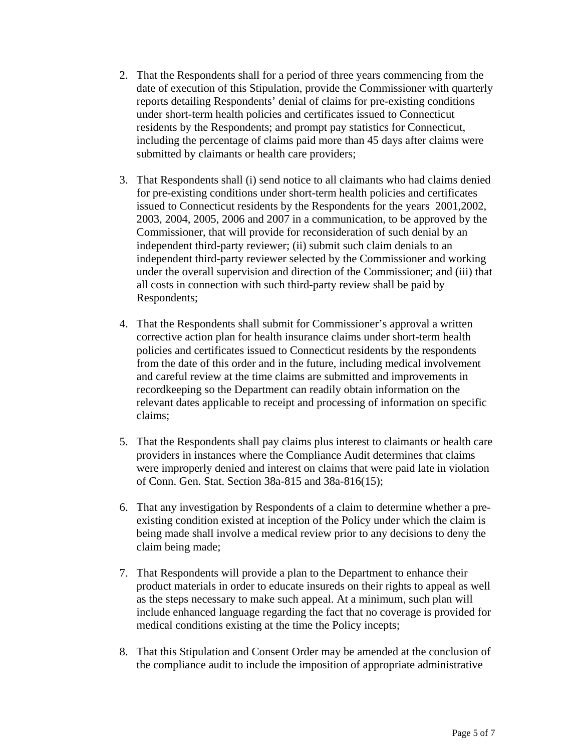- 2. That the Respondents shall for a period of three years commencing from the date of execution of this Stipulation, provide the Commissioner with quarterly reports detailing Respondents' denial of claims for pre-existing conditions under short-term health policies and certificates issued to Connecticut residents by the Respondents; and prompt pay statistics for Connecticut, including the percentage of claims paid more than 45 days after claims were submitted by claimants or health care providers;
- 3. That Respondents shall (i) send notice to all claimants who had claims denied for pre-existing conditions under short-term health policies and certificates issued to Connecticut residents by the Respondents for the years 2001,2002, 2003, 2004, 2005, 2006 and 2007 in a communication, to be approved by the Commissioner, that will provide for reconsideration of such denial by an independent third-party reviewer; (ii) submit such claim denials to an independent third-party reviewer selected by the Commissioner and working under the overall supervision and direction of the Commissioner; and (iii) that all costs in connection with such third-party review shall be paid by Respondents;
- 4. That the Respondents shall submit for Commissioner's approval a written corrective action plan for health insurance claims under short-term health policies and certificates issued to Connecticut residents by the respondents from the date of this order and in the future, including medical involvement and careful review at the time claims are submitted and improvements in recordkeeping so the Department can readily obtain information on the relevant dates applicable to receipt and processing of information on specific claims;
- 5. That the Respondents shall pay claims plus interest to claimants or health care providers in instances where the Compliance Audit determines that claims were improperly denied and interest on claims that were paid late in violation of Conn. Gen. Stat. Section 38a-815 and 38a-816(15);
- 6. That any investigation by Respondents of a claim to determine whether a preexisting condition existed at inception of the Policy under which the claim is being made shall involve a medical review prior to any decisions to deny the claim being made;
- 7. That Respondents will provide a plan to the Department to enhance their product materials in order to educate insureds on their rights to appeal as well as the steps necessary to make such appeal. At a minimum, such plan will include enhanced language regarding the fact that no coverage is provided for medical conditions existing at the time the Policy incepts;
- 8. That this Stipulation and Consent Order may be amended at the conclusion of the compliance audit to include the imposition of appropriate administrative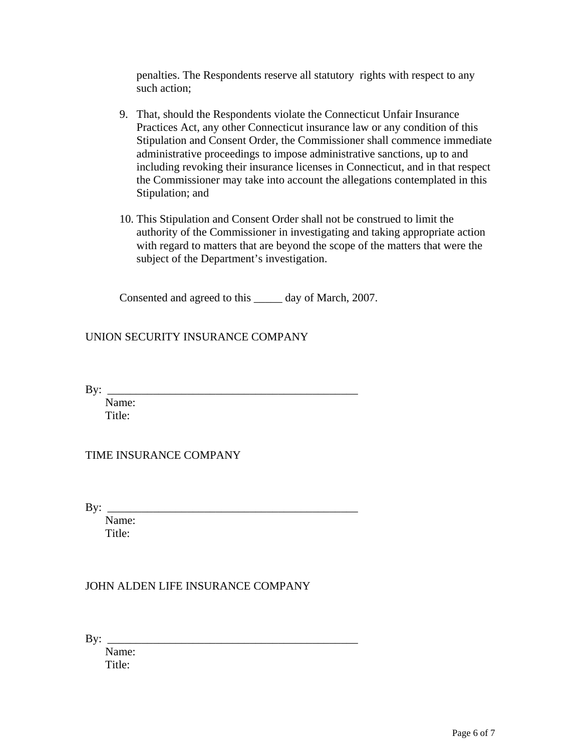penalties. The Respondents reserve all statutory rights with respect to any such action;

- 9. That, should the Respondents violate the Connecticut Unfair Insurance Practices Act, any other Connecticut insurance law or any condition of this Stipulation and Consent Order, the Commissioner shall commence immediate administrative proceedings to impose administrative sanctions, up to and including revoking their insurance licenses in Connecticut, and in that respect the Commissioner may take into account the allegations contemplated in this Stipulation; and
- 10. This Stipulation and Consent Order shall not be construed to limit the authority of the Commissioner in investigating and taking appropriate action with regard to matters that are beyond the scope of the matters that were the subject of the Department's investigation.

Consented and agreed to this \_\_\_\_\_ day of March, 2007.

# UNION SECURITY INSURANCE COMPANY

 $\mathbf{B} \mathbf{y}$ :

 Name: Title:

## TIME INSURANCE COMPANY

 $By: \_$ 

 Name: Title:

## JOHN ALDEN LIFE INSURANCE COMPANY

By: \_\_\_\_\_\_\_\_\_\_\_\_\_\_\_\_\_\_\_\_\_\_\_\_\_\_\_\_\_\_\_\_\_\_\_\_\_\_\_\_\_\_\_\_

 Name: Title: